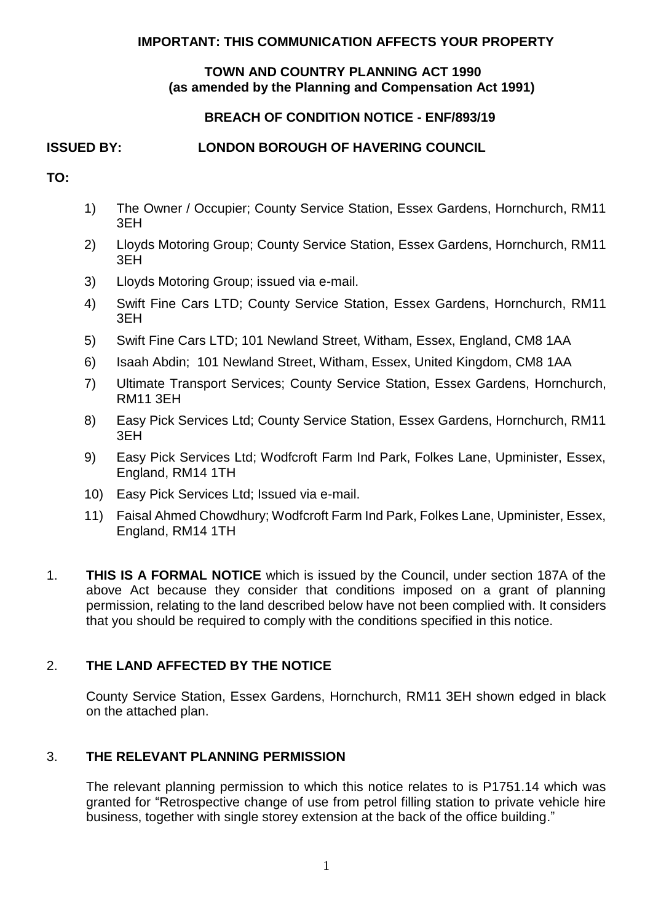#### **IMPORTANT: THIS COMMUNICATION AFFECTS YOUR PROPERTY**

#### **TOWN AND COUNTRY PLANNING ACT 1990 (as amended by the Planning and Compensation Act 1991)**

# **BREACH OF CONDITION NOTICE - ENF/893/19**

# **ISSUED BY: LONDON BOROUGH OF HAVERING COUNCIL**

- **TO:**
- 1) The Owner / Occupier; County Service Station, Essex Gardens, Hornchurch, RM11 3EH
- 2) Lloyds Motoring Group; County Service Station, Essex Gardens, Hornchurch, RM11 3EH
- 3) Lloyds Motoring Group; issued via e-mail.
- 4) Swift Fine Cars LTD; County Service Station, Essex Gardens, Hornchurch, RM11 3EH
- 5) Swift Fine Cars LTD; 101 Newland Street, Witham, Essex, England, CM8 1AA
- 6) Isaah Abdin; 101 Newland Street, Witham, Essex, United Kingdom, CM8 1AA
- 7) Ultimate Transport Services; County Service Station, Essex Gardens, Hornchurch, RM11 3EH
- 8) Easy Pick Services Ltd; County Service Station, Essex Gardens, Hornchurch, RM11 3EH
- 9) Easy Pick Services Ltd; Wodfcroft Farm Ind Park, Folkes Lane, Upminister, Essex, England, RM14 1TH
- 10) Easy Pick Services Ltd; Issued via e-mail.
- 11) Faisal Ahmed Chowdhury; Wodfcroft Farm Ind Park, Folkes Lane, Upminister, Essex, England, RM14 1TH
- 1. **THIS IS A FORMAL NOTICE** which is issued by the Council, under section 187A of the above Act because they consider that conditions imposed on a grant of planning permission, relating to the land described below have not been complied with. It considers that you should be required to comply with the conditions specified in this notice.

### 2. **THE LAND AFFECTED BY THE NOTICE**

 County Service Station, Essex Gardens, Hornchurch, RM11 3EH shown edged in black on the attached plan.

### 3. **THE RELEVANT PLANNING PERMISSION**

 The relevant planning permission to which this notice relates to is P1751.14 which was granted for "Retrospective change of use from petrol filling station to private vehicle hire business, together with single storey extension at the back of the office building."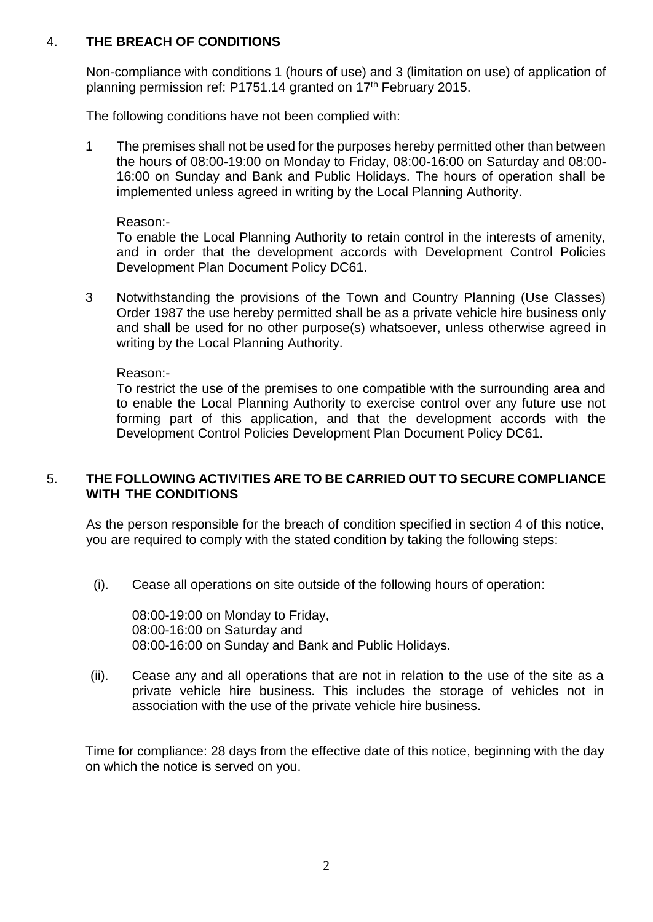### 4. **THE BREACH OF CONDITIONS**

 Non-compliance with conditions 1 (hours of use) and 3 (limitation on use) of application of planning permission ref: P1751.14 granted on 17th February 2015.

The following conditions have not been complied with:

 1 The premises shall not be used for the purposes hereby permitted other than between the hours of 08:00-19:00 on Monday to Friday, 08:00-16:00 on Saturday and 08:00- 16:00 on Sunday and Bank and Public Holidays. The hours of operation shall be implemented unless agreed in writing by the Local Planning Authority.

Reason:-

 To enable the Local Planning Authority to retain control in the interests of amenity, and in order that the development accords with Development Control Policies Development Plan Document Policy DC61.

 3 Notwithstanding the provisions of the Town and Country Planning (Use Classes) Order 1987 the use hereby permitted shall be as a private vehicle hire business only and shall be used for no other purpose(s) whatsoever, unless otherwise agreed in writing by the Local Planning Authority.

Reason:-

 To restrict the use of the premises to one compatible with the surrounding area and to enable the Local Planning Authority to exercise control over any future use not forming part of this application, and that the development accords with the Development Control Policies Development Plan Document Policy DC61.

#### 5. **THE FOLLOWING ACTIVITIES ARE TO BE CARRIED OUT TO SECURE COMPLIANCE WITH THE CONDITIONS**

 As the person responsible for the breach of condition specified in section 4 of this notice, you are required to comply with the stated condition by taking the following steps:

(i). Cease all operations on site outside of the following hours of operation:

 08:00-16:00 on Sunday and Bank and Public Holidays. 08:00-19:00 on Monday to Friday, 08:00-16:00 on Saturday and

 (ii). Cease any and all operations that are not in relation to the use of the site as a private vehicle hire business. This includes the storage of vehicles not in association with the use of the private vehicle hire business.

 Time for compliance: 28 days from the effective date of this notice, beginning with the day on which the notice is served on you.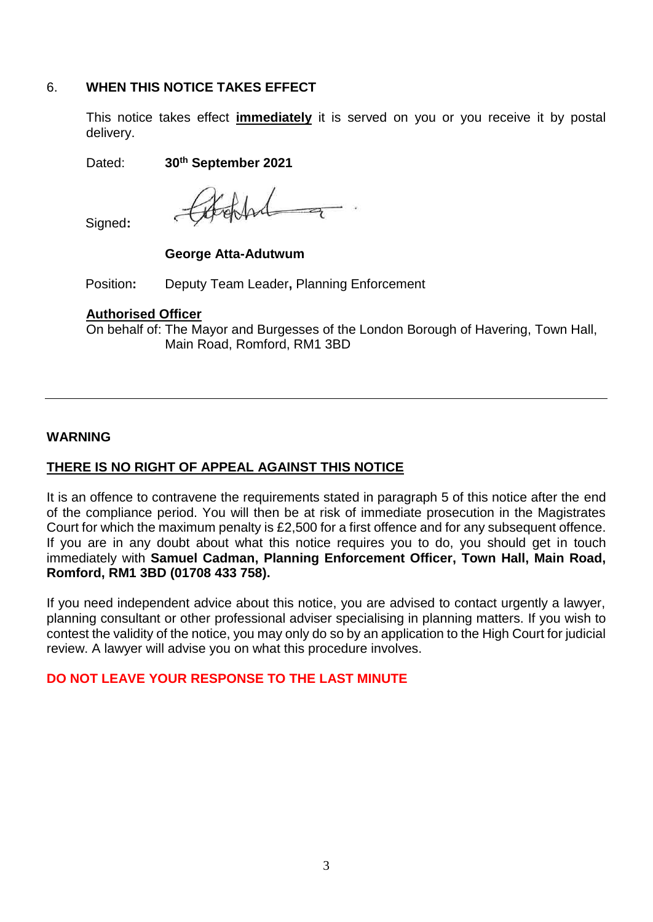### 6. **WHEN THIS NOTICE TAKES EFFECT**

 This notice takes effect **immediately** it is served on you or you receive it by postal delivery.

Dated: **30th September 2021** 

the fact of

Signed**:** 

#### **George Atta-Adutwum**

Position**:** Deputy Team Leader**,** Planning Enforcement

#### **Authorised Officer**

On behalf of: The Mayor and Burgesses of the London Borough of Havering, Town Hall, Main Road, Romford, RM1 3BD

### **WARNING**

# **THERE IS NO RIGHT OF APPEAL AGAINST THIS NOTICE**

 It is an offence to contravene the requirements stated in paragraph 5 of this notice after the end of the compliance period. You will then be at risk of immediate prosecution in the Magistrates Court for which the maximum penalty is £2,500 for a first offence and for any subsequent offence. If you are in any doubt about what this notice requires you to do, you should get in touch immediately with **Samuel Cadman, Planning Enforcement Officer, Town Hall, Main Road, Romford, RM1 3BD (01708 433 758).** 

 If you need independent advice about this notice, you are advised to contact urgently a lawyer, planning consultant or other professional adviser specialising in planning matters. If you wish to contest the validity of the notice, you may only do so by an application to the High Court for judicial review. A lawyer will advise you on what this procedure involves.

### **DO NOT LEAVE YOUR RESPONSE TO THE LAST MINUTE**